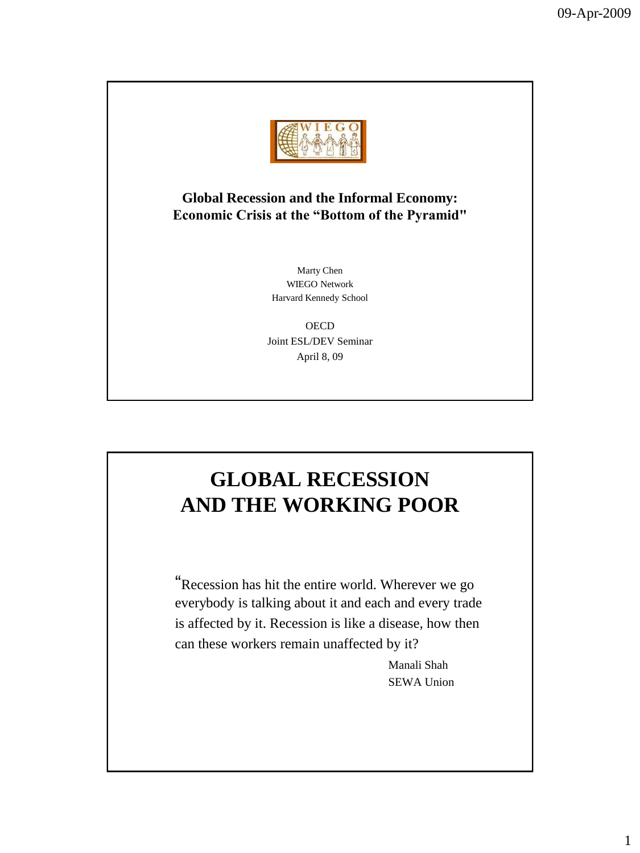

#### **Global Recession and the Informal Economy: Economic Crisis at the "Bottom of the Pyramid"**

Marty Chen WIEGO Network Harvard Kennedy School

**OECD** Joint ESL/DEV Seminar April 8, 09

## **GLOBAL RECESSION AND THE WORKING POOR**

"Recession has hit the entire world. Wherever we go everybody is talking about it and each and every trade is affected by it. Recession is like a disease, how then can these workers remain unaffected by it?

> Manali Shah SEWA Union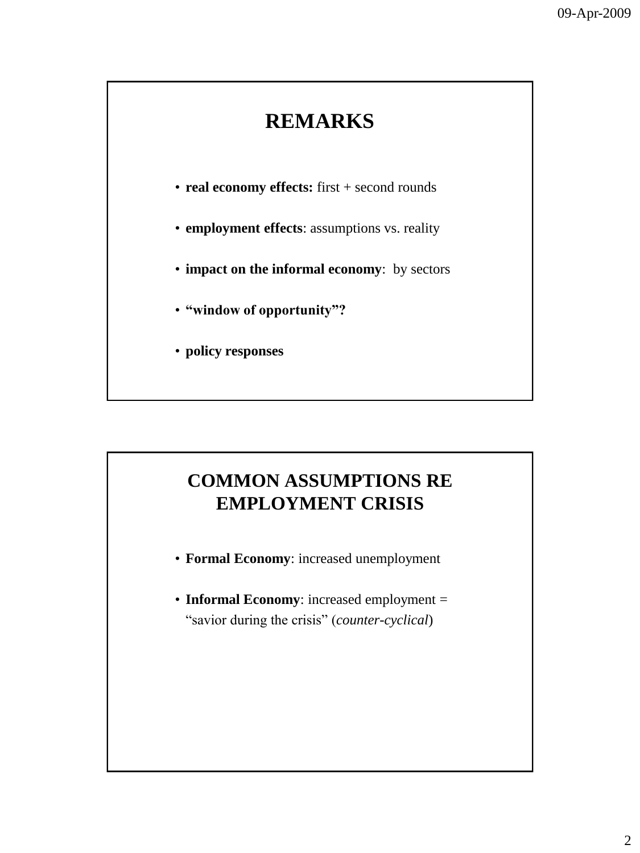## **REMARKS**

- **real economy effects:** first + second rounds
- **employment effects**: assumptions vs. reality
- **impact on the informal economy**: by sectors
- **"window of opportunity"?**
- **policy responses**

### **COMMON ASSUMPTIONS RE EMPLOYMENT CRISIS**

- **Formal Economy**: increased unemployment
- **Informal Economy**: increased employment = "savior during the crisis" (*counter-cyclical*)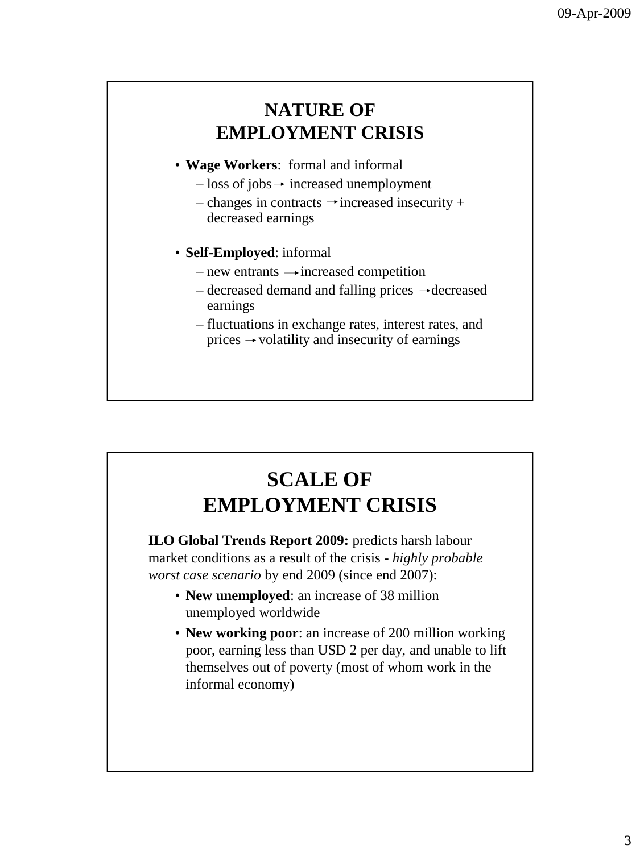### **NATURE OF EMPLOYMENT CRISIS**

- **Wage Workers**: formal and informal
	- $-$  loss of jobs  $\rightarrow$  increased unemployment
	- changes in contracts  $\rightarrow$  increased insecurity + decreased earnings
- **Self-Employed**: informal
	- new entrants  $\rightarrow$  increased competition
	- $-\,$  decreased demand and falling prices  $-\,$  decreased earnings
	- fluctuations in exchange rates, interest rates, and prices  $\rightarrow$  volatility and insecurity of earnings

# **SCALE OF EMPLOYMENT CRISIS**

**ILO Global Trends Report 2009:** predicts harsh labour market conditions as a result of the crisis - *highly probable worst case scenario* by end 2009 (since end 2007):

- **New unemployed**: an increase of 38 million unemployed worldwide
- **New working poor**: an increase of 200 million working poor, earning less than USD 2 per day, and unable to lift themselves out of poverty (most of whom work in the informal economy)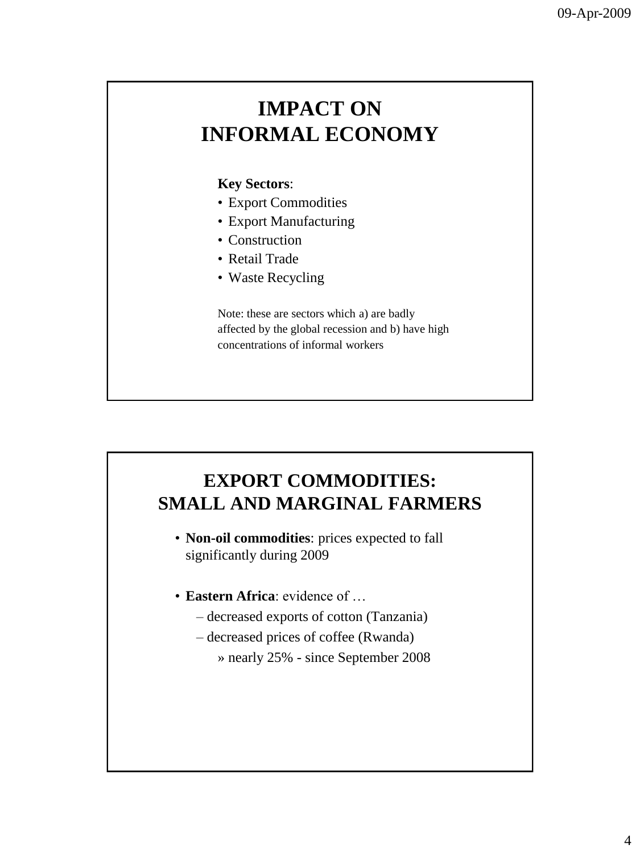## **IMPACT ON INFORMAL ECONOMY**

#### **Key Sectors**:

- Export Commodities
- Export Manufacturing
- Construction
- Retail Trade
- Waste Recycling

Note: these are sectors which a) are badly affected by the global recession and b) have high concentrations of informal workers

### **EXPORT COMMODITIES: SMALL AND MARGINAL FARMERS**

• **Non-oil commodities**: prices expected to fall significantly during 2009

- **Eastern Africa**: evidence of …
	- decreased exports of cotton (Tanzania)
	- decreased prices of coffee (Rwanda)
		- » nearly 25% since September 2008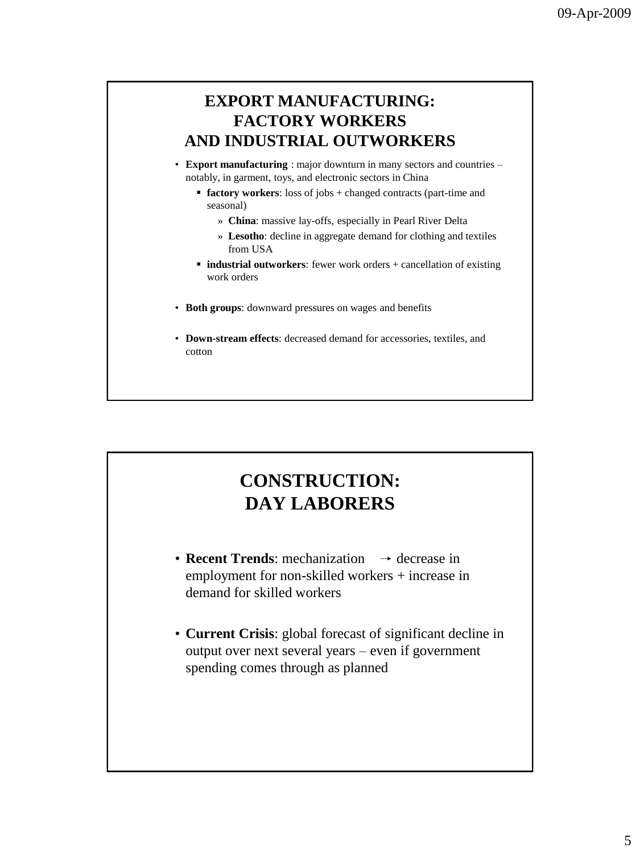### **EXPORT MANUFACTURING: FACTORY WORKERS AND INDUSTRIAL OUTWORKERS**

- **Export manufacturing** : major downturn in many sectors and countries notably, in garment, toys, and electronic sectors in China
	- **factory workers:** loss of jobs + changed contracts (part-time and seasonal)
		- » **China**: massive lay-offs, especially in Pearl River Delta
		- » **Lesotho**: decline in aggregate demand for clothing and textiles from USA
	- **industrial outworkers**: fewer work orders + cancellation of existing work orders
- **Both groups**: downward pressures on wages and benefits
- **Down-stream effects**: decreased demand for accessories, textiles, and cotton

### **CONSTRUCTION: DAY LABORERS**

- **Recent Trends**: mechanization  $\rightarrow$  decrease in employment for non-skilled workers + increase in demand for skilled workers
- **Current Crisis**: global forecast of significant decline in output over next several years – even if government spending comes through as planned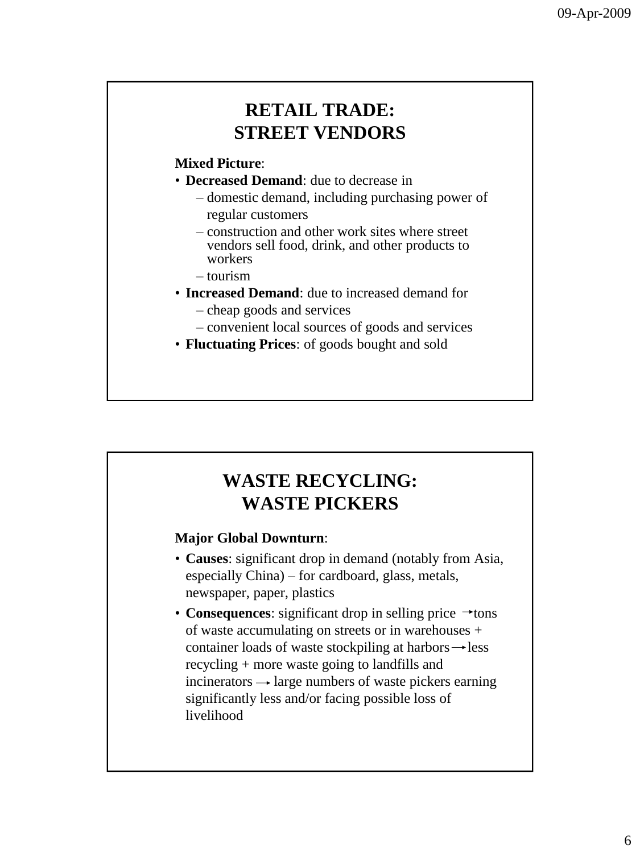### **RETAIL TRADE: STREET VENDORS**

#### **Mixed Picture**:

- **Decreased Demand**: due to decrease in
	- domestic demand, including purchasing power of regular customers
	- construction and other work sites where street vendors sell food, drink, and other products to workers
	- tourism
- **Increased Demand**: due to increased demand for – cheap goods and services
	- convenient local sources of goods and services
- **Fluctuating Prices**: of goods bought and sold

### **WASTE RECYCLING: WASTE PICKERS**

#### **Major Global Downturn**:

- **Causes**: significant drop in demand (notably from Asia, especially China) – for cardboard, glass, metals, newspaper, paper, plastics
- **Consequences**: significant drop in selling price  $\rightarrow$  tons of waste accumulating on streets or in warehouses + container loads of waste stockpiling at harbors  $\rightarrow$  less recycling + more waste going to landfills and incinerators  $\rightarrow$  large numbers of waste pickers earning significantly less and/or facing possible loss of livelihood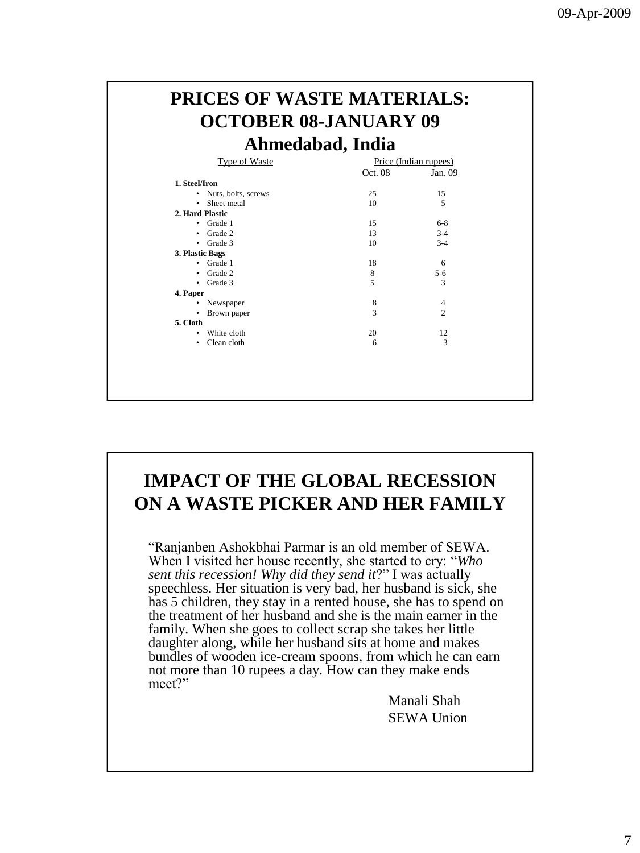| Ahmedabad, India  |                              |         |                       |  |
|-------------------|------------------------------|---------|-----------------------|--|
|                   | <b>Type of Waste</b>         |         | Price (Indian rupees) |  |
|                   |                              | Oct. 08 | Jan. 09               |  |
| 1. Steel/Iron     |                              |         |                       |  |
|                   | • Nuts, bolts, screws        | 25      | 15                    |  |
|                   | • Sheet metal                | 10      | 5                     |  |
| 2. Hard Plastic   |                              |         |                       |  |
| $\bullet$ Grade 1 |                              | 15      | $6 - 8$               |  |
| $\bullet$ Grade 2 |                              | 13      | $3-4$                 |  |
| $\bullet$ Grade 3 |                              | 10      | $3 - 4$               |  |
| 3. Plastic Bags   |                              |         |                       |  |
| $\bullet$ Grade 1 |                              | 18      | 6                     |  |
| $\bullet$ Grade 2 |                              | 8       | $5 - 6$               |  |
| $\bullet$ Grade 3 |                              | 5       | 3                     |  |
| 4. Paper          |                              |         |                       |  |
| ٠                 | Newspaper                    | 8       | 4                     |  |
| ٠                 | Brown paper                  | 3       | $\overline{c}$        |  |
| 5. Cloth          |                              |         |                       |  |
|                   |                              |         |                       |  |
| ٠                 | White cloth<br>• Clean cloth | 20<br>6 | 12<br>3               |  |

### **IMPACT OF THE GLOBAL RECESSION ON A WASTE PICKER AND HER FAMILY**

"Ranjanben Ashokbhai Parmar is an old member of SEWA. When I visited her house recently, she started to cry: "*Who sent this recession! Why did they send it*?" I was actually speechless. Her situation is very bad, her husband is sick, she has 5 children, they stay in a rented house, she has to spend on the treatment of her husband and she is the main earner in the family. When she goes to collect scrap she takes her little daughter along, while her husband sits at home and makes bundles of wooden ice-cream spoons, from which he can earn not more than 10 rupees a day. How can they make ends meet?"

> Manali Shah SEWA Union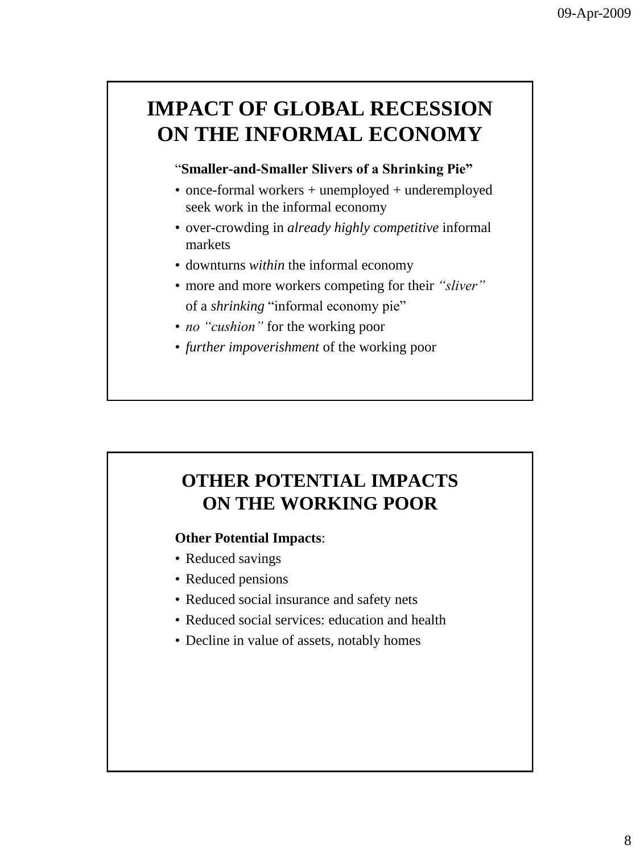## **IMPACT OF GLOBAL RECESSION ON THE INFORMAL ECONOMY**

#### "**Smaller-and-Smaller Slivers of a Shrinking Pie"**

- once-formal workers + unemployed + underemployed seek work in the informal economy
- over-crowding in *already highly competitive* informal markets
- downturns *within* the informal economy
- more and more workers competing for their *"sliver"* of a *shrinking* "informal economy pie"
- *no "cushion"* for the working poor
- *further impoverishment* of the working poor

## **OTHER POTENTIAL IMPACTS ON THE WORKING POOR**

#### **Other Potential Impacts**:

- Reduced savings
- Reduced pensions
- Reduced social insurance and safety nets
- Reduced social services: education and health
- Decline in value of assets, notably homes